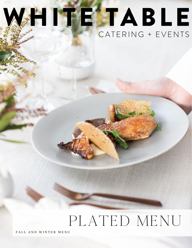# SHITE TABLE CATERING + EVENTS

## PLATED MENU

FALL AND WINTER MENU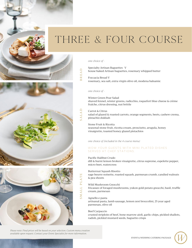

### THREE & FOUR COURSE

*one choice of -*

Specialty Artisan Baguettes V house baked Artisan baguettes, rosemary whipped butter

Foccacia Bread V rosemary, sea salt, extra virgin olive oil, modena balsamic

#### *one choice of -*

Winter Green Pear Salad shaved fennel, winter greens, radicchio, roquefort blue cheese & crème fraîche, citrus dressing, nut brittle

### S <sup>A</sup> LA $\Box$

BREA

 $\Box$ 

Carrot & Citrus salad of glazed & roasted carrots, orange segments, beets, cashew crema, pistachio dukkah

#### Stone Fruit & Ricotta

seasonal stone fruit, ricotta cream, prosciutto, arugula, honey vinaigrette, toasted honey glazed pistachios

*one choice of (included in the 4-course menu)*

#### WOW YOUR GUESTS WITH MINI PLATED DISHES SERVED AT CHEF STATIONS.

#### Pacific Halibut Crudo

dill & burnt lemon broken vinaigrette, citrus supreme, espelette pepper, micro beet, watercress

Butternut Squash Risotto

sage beurre noisette, roasted squash, parmesan crumb, candied walnuts & pea shoots

#### Wild Mushroom Gnocchi

fricassee of foraged mushrooms, yukon gold potato gnocchi, basil, truffle cream, parmesan

#### Agnello e pasta

S <sup>M</sup>

ALL

PLATE

artisanal pasta, lamb sausage, lemon zest broccolini, 25 year aged parmesan, olive oil

Beef Carpaccio

crusted striploin of beef, bone marrow aioli, garlic chips, pickled shallots, radish, pickled mustard seeds, baguette crisps

*Please note: Final prices will be based on your selection. Custom menu creation available upon request. Contact your Event Specialist for more information.*

#### EVENT & WEDDING CATERING PACKAGE